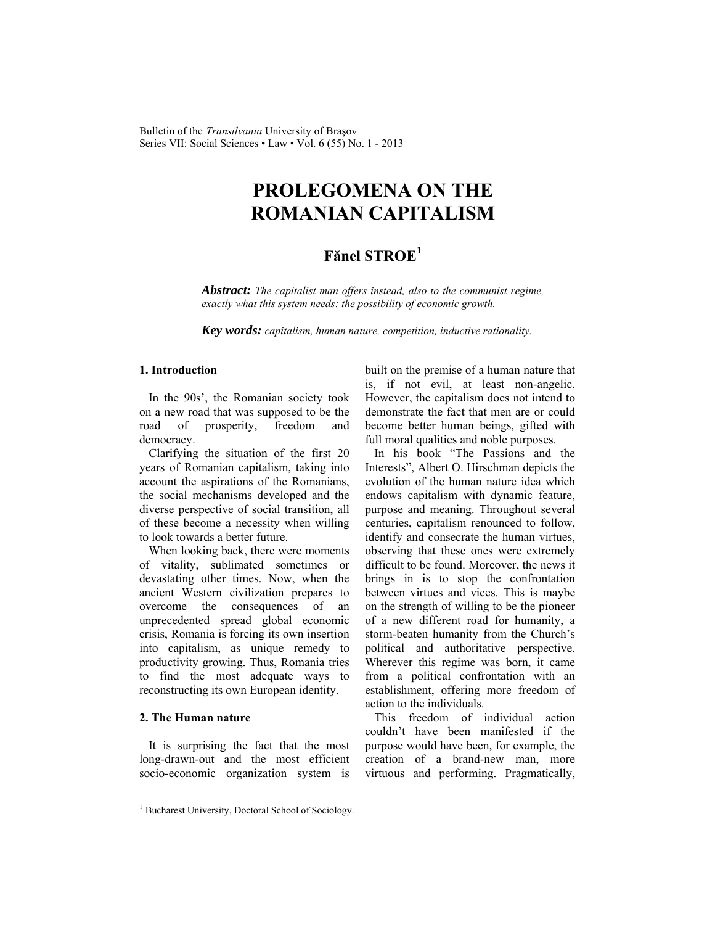Bulletin of the *Transilvania* University of Braşov Series VII: Social Sciences • Law • Vol. 6 (55) No. 1 - 2013

# **PROLEGOMENA ON THE ROMANIAN CAPITALISM**

# **Fănel STROE<sup>1</sup>**

*Abstract: The capitalist man offers instead, also to the communist regime, exactly what this system needs: the possibility of economic growth.* 

*Key words: capitalism, human nature, competition, inductive rationality.*

### **1. Introduction**

In the 90s', the Romanian society took on a new road that was supposed to be the road of prosperity, freedom and democracy.

Clarifying the situation of the first 20 years of Romanian capitalism, taking into account the aspirations of the Romanians, the social mechanisms developed and the diverse perspective of social transition, all of these become a necessity when willing to look towards a better future.

When looking back, there were moments of vitality, sublimated sometimes or devastating other times. Now, when the ancient Western civilization prepares to overcome the consequences of an unprecedented spread global economic crisis, Romania is forcing its own insertion into capitalism, as unique remedy to productivity growing. Thus, Romania tries to find the most adequate ways to reconstructing its own European identity.

#### **2. The Human nature**

 $\overline{a}$ 

It is surprising the fact that the most long-drawn-out and the most efficient socio-economic organization system is built on the premise of a human nature that is, if not evil, at least non-angelic. However, the capitalism does not intend to demonstrate the fact that men are or could become better human beings, gifted with full moral qualities and noble purposes.

In his book "The Passions and the Interests", Albert O. Hirschman depicts the evolution of the human nature idea which endows capitalism with dynamic feature, purpose and meaning. Throughout several centuries, capitalism renounced to follow, identify and consecrate the human virtues, observing that these ones were extremely difficult to be found. Moreover, the news it brings in is to stop the confrontation between virtues and vices. This is maybe on the strength of willing to be the pioneer of a new different road for humanity, a storm-beaten humanity from the Church's political and authoritative perspective. Wherever this regime was born, it came from a political confrontation with an establishment, offering more freedom of action to the individuals.

This freedom of individual action couldn't have been manifested if the purpose would have been, for example, the creation of a brand-new man, more virtuous and performing. Pragmatically,

<sup>&</sup>lt;sup>1</sup> Bucharest University, Doctoral School of Sociology.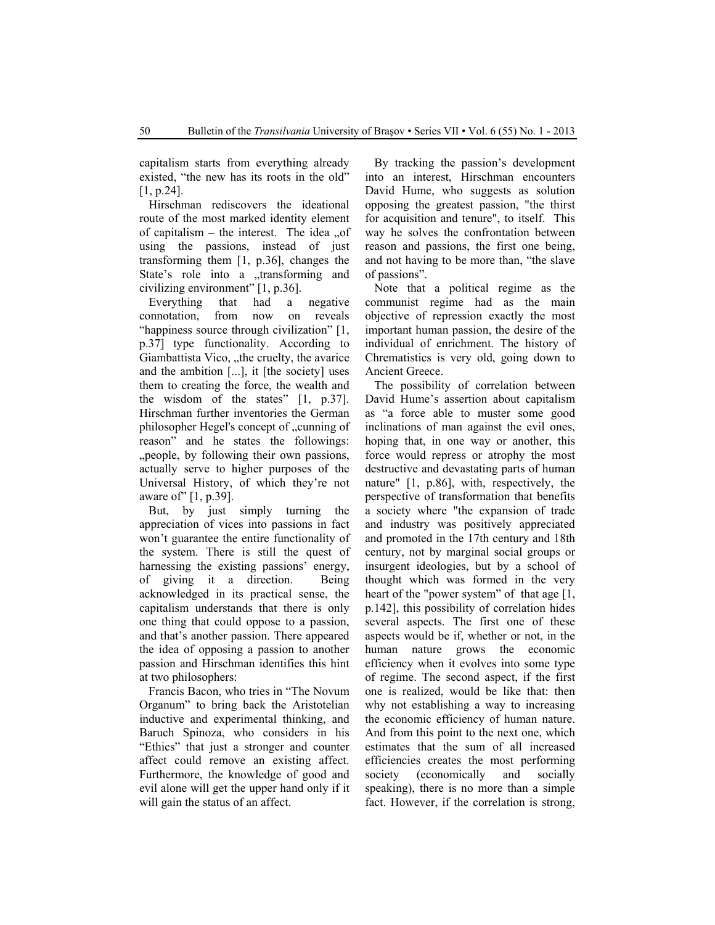capitalism starts from everything already existed, "the new has its roots in the old" [1, p.24].

Hirschman rediscovers the ideational route of the most marked identity element of capitalism – the interest. The idea  $\alpha$ using the passions, instead of just transforming them [1, p.36], changes the State's role into a transforming and civilizing environment" [1, p.36].

Everything that had a negative connotation, from now on reveals "happiness source through civilization" [1, p.37] type functionality. According to Giambattista Vico, "the cruelty, the avarice and the ambition [...], it [the society] uses them to creating the force, the wealth and the wisdom of the states" [1, p.37]. Hirschman further inventories the German philosopher Hegel's concept of "cunning of reason" and he states the followings: "people, by following their own passions, actually serve to higher purposes of the Universal History, of which they're not aware of" [1, p.39].

But, by just simply turning the appreciation of vices into passions in fact won't guarantee the entire functionality of the system. There is still the quest of harnessing the existing passions' energy, of giving it a direction. Being acknowledged in its practical sense, the capitalism understands that there is only one thing that could oppose to a passion, and that's another passion. There appeared the idea of opposing a passion to another passion and Hirschman identifies this hint at two philosophers:

Francis Bacon, who tries in "The Novum Organum" to bring back the Aristotelian inductive and experimental thinking, and Baruch Spinoza, who considers in his "Ethics" that just a stronger and counter affect could remove an existing affect. Furthermore, the knowledge of good and evil alone will get the upper hand only if it will gain the status of an affect.

By tracking the passion's development into an interest, Hirschman encounters David Hume, who suggests as solution opposing the greatest passion, "the thirst for acquisition and tenure", to itself. This way he solves the confrontation between reason and passions, the first one being, and not having to be more than, "the slave of passions".

Note that a political regime as the communist regime had as the main objective of repression exactly the most important human passion, the desire of the individual of enrichment. The history of Chrematistics is very old, going down to Ancient Greece.

The possibility of correlation between David Hume's assertion about capitalism as "a force able to muster some good inclinations of man against the evil ones, hoping that, in one way or another, this force would repress or atrophy the most destructive and devastating parts of human nature" [1, p.86], with, respectively, the perspective of transformation that benefits a society where "the expansion of trade and industry was positively appreciated and promoted in the 17th century and 18th century, not by marginal social groups or insurgent ideologies, but by a school of thought which was formed in the very heart of the "power system" of that age [1, p.142], this possibility of correlation hides several aspects. The first one of these aspects would be if, whether or not, in the human nature grows the economic efficiency when it evolves into some type of regime. The second aspect, if the first one is realized, would be like that: then why not establishing a way to increasing the economic efficiency of human nature. And from this point to the next one, which estimates that the sum of all increased efficiencies creates the most performing society (economically and socially speaking), there is no more than a simple fact. However, if the correlation is strong,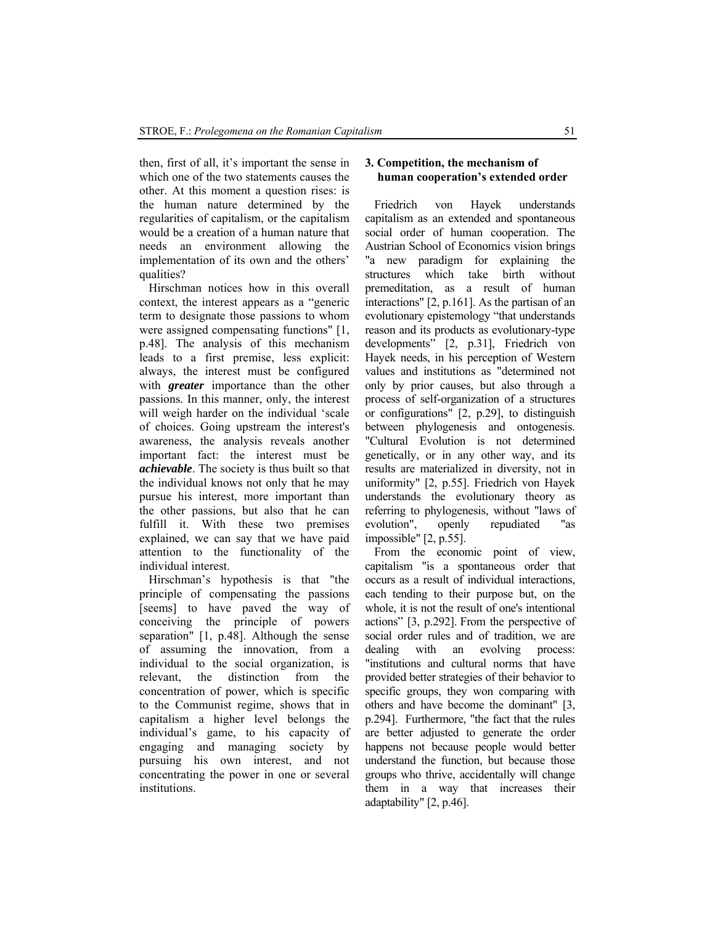then, first of all, it's important the sense in which one of the two statements causes the other. At this moment a question rises: is the human nature determined by the regularities of capitalism, or the capitalism would be a creation of a human nature that needs an environment allowing the implementation of its own and the others' qualities?

Hirschman notices how in this overall context, the interest appears as a "generic term to designate those passions to whom were assigned compensating functions" [1, p.48]. The analysis of this mechanism leads to a first premise, less explicit: always, the interest must be configured with *greater* importance than the other passions. In this manner, only, the interest will weigh harder on the individual 'scale of choices. Going upstream the interest's awareness, the analysis reveals another important fact: the interest must be *achievable*. The society is thus built so that the individual knows not only that he may pursue his interest, more important than the other passions, but also that he can fulfill it. With these two premises explained, we can say that we have paid attention to the functionality of the individual interest.

Hirschman's hypothesis is that "the principle of compensating the passions [seems] to have paved the way of conceiving the principle of powers separation" [1, p.48]. Although the sense of assuming the innovation, from a individual to the social organization, is relevant, the distinction from the concentration of power, which is specific to the Communist regime, shows that in capitalism a higher level belongs the individual's game, to his capacity of engaging and managing society by pursuing his own interest, and not concentrating the power in one or several institutions.

## **3. Competition, the mechanism of human cooperation's extended order**

Friedrich von Hayek understands capitalism as an extended and spontaneous social order of human cooperation. The Austrian School of Economics vision brings "a new paradigm for explaining the structures which take birth without premeditation, as a result of human interactions" [2, p.161]. As the partisan of an evolutionary epistemology "that understands reason and its products as evolutionary-type developments" [2, p.31], Friedrich von Hayek needs, in his perception of Western values and institutions as "determined not only by prior causes, but also through a process of self-organization of a structures or configurations" [2, p.29], to distinguish between phylogenesis and ontogenesis. "Cultural Evolution is not determined genetically, or in any other way, and its results are materialized in diversity, not in uniformity" [2, p.55]. Friedrich von Hayek understands the evolutionary theory as referring to phylogenesis, without "laws of evolution", openly repudiated "as impossible" [2, p.55].

From the economic point of view, capitalism "is a spontaneous order that occurs as a result of individual interactions, each tending to their purpose but, on the whole, it is not the result of one's intentional actions" [3, p.292]. From the perspective of social order rules and of tradition, we are dealing with an evolving process: "institutions and cultural norms that have provided better strategies of their behavior to specific groups, they won comparing with others and have become the dominant" [3, p.294]. Furthermore, "the fact that the rules are better adjusted to generate the order happens not because people would better understand the function, but because those groups who thrive, accidentally will change them in a way that increases their adaptability" [2, p.46].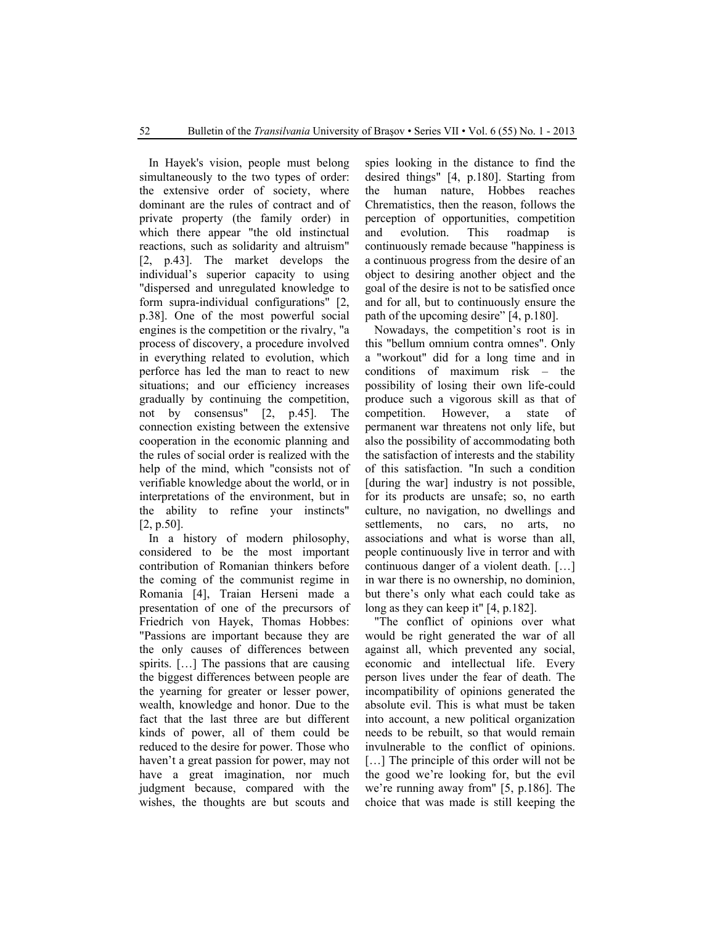In Hayek's vision, people must belong simultaneously to the two types of order: the extensive order of society, where dominant are the rules of contract and of private property (the family order) in which there appear "the old instinctual reactions, such as solidarity and altruism" [2, p.43]. The market develops the individual's superior capacity to using "dispersed and unregulated knowledge to form supra-individual configurations" [2, p.38]. One of the most powerful social engines is the competition or the rivalry, "a process of discovery, a procedure involved in everything related to evolution, which perforce has led the man to react to new situations; and our efficiency increases gradually by continuing the competition, not by consensus" [2, p.45]. The connection existing between the extensive cooperation in the economic planning and the rules of social order is realized with the help of the mind, which "consists not of verifiable knowledge about the world, or in interpretations of the environment, but in the ability to refine your instincts" [2, p.50].

In a history of modern philosophy, considered to be the most important contribution of Romanian thinkers before the coming of the communist regime in Romania [4], Traian Herseni made a presentation of one of the precursors of Friedrich von Hayek, Thomas Hobbes: "Passions are important because they are the only causes of differences between spirits. […] The passions that are causing the biggest differences between people are the yearning for greater or lesser power, wealth, knowledge and honor. Due to the fact that the last three are but different kinds of power, all of them could be reduced to the desire for power. Those who haven't a great passion for power, may not have a great imagination, nor much judgment because, compared with the wishes, the thoughts are but scouts and spies looking in the distance to find the desired things" [4, p.180]. Starting from the human nature, Hobbes reaches Chrematistics, then the reason, follows the perception of opportunities, competition and evolution. This roadmap is continuously remade because "happiness is a continuous progress from the desire of an object to desiring another object and the goal of the desire is not to be satisfied once and for all, but to continuously ensure the path of the upcoming desire" [4, p.180].

Nowadays, the competition's root is in this "bellum omnium contra omnes". Only a "workout" did for a long time and in conditions of maximum risk – the possibility of losing their own life-could produce such a vigorous skill as that of competition. However, a state of permanent war threatens not only life, but also the possibility of accommodating both the satisfaction of interests and the stability of this satisfaction. "In such a condition [during the war] industry is not possible, for its products are unsafe; so, no earth culture, no navigation, no dwellings and settlements, no cars, no arts, no associations and what is worse than all, people continuously live in terror and with continuous danger of a violent death. […] in war there is no ownership, no dominion, but there's only what each could take as long as they can keep it" [4, p.182].

"The conflict of opinions over what would be right generated the war of all against all, which prevented any social, economic and intellectual life. Every person lives under the fear of death. The incompatibility of opinions generated the absolute evil. This is what must be taken into account, a new political organization needs to be rebuilt, so that would remain invulnerable to the conflict of opinions. [...] The principle of this order will not be the good we're looking for, but the evil we're running away from" [5, p.186]. The choice that was made is still keeping the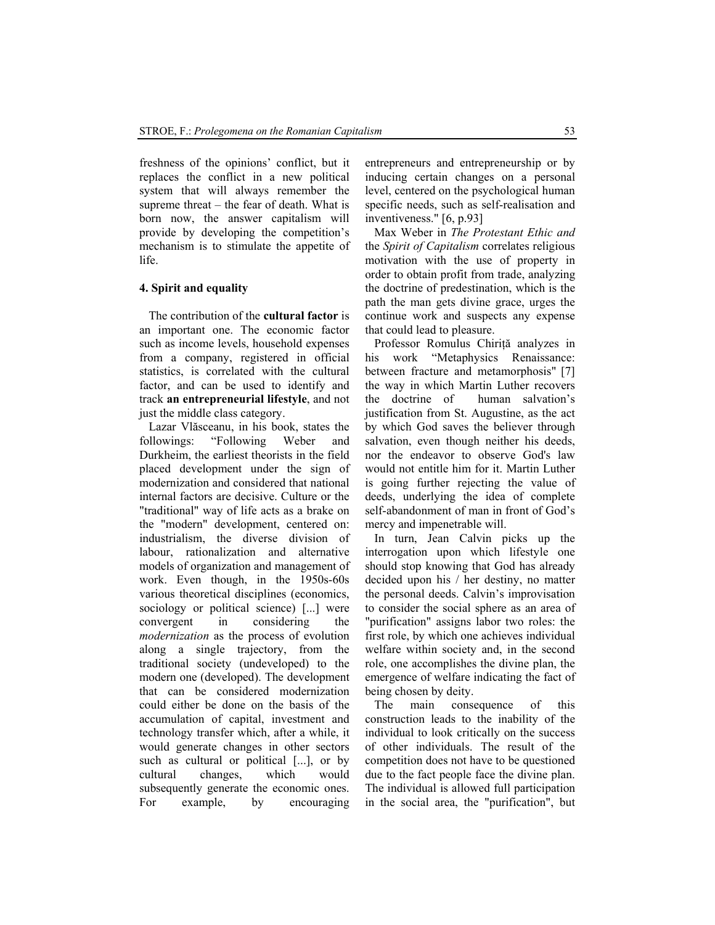freshness of the opinions' conflict, but it replaces the conflict in a new political system that will always remember the supreme threat – the fear of death. What is born now, the answer capitalism will provide by developing the competition's mechanism is to stimulate the appetite of life.

### **4. Spirit and equality**

The contribution of the **cultural factor** is an important one. The economic factor such as income levels, household expenses from a company, registered in official statistics, is correlated with the cultural factor, and can be used to identify and track **an entrepreneurial lifestyle**, and not just the middle class category.

Lazar Vlăsceanu, in his book, states the followings: "Following Weber and Durkheim, the earliest theorists in the field placed development under the sign of modernization and considered that national internal factors are decisive. Culture or the "traditional" way of life acts as a brake on the "modern" development, centered on: industrialism, the diverse division of labour, rationalization and alternative models of organization and management of work. Even though, in the 1950s-60s various theoretical disciplines (economics, sociology or political science) [...] were convergent in considering the *modernization* as the process of evolution along a single trajectory, from the traditional society (undeveloped) to the modern one (developed). The development that can be considered modernization could either be done on the basis of the accumulation of capital, investment and technology transfer which, after a while, it would generate changes in other sectors such as cultural or political [...], or by cultural changes, which would subsequently generate the economic ones. For example, by encouraging entrepreneurs and entrepreneurship or by inducing certain changes on a personal level, centered on the psychological human specific needs, such as self-realisation and inventiveness." [6, p.93]

Max Weber in *The Protestant Ethic and* the *Spirit of Capitalism* correlates religious motivation with the use of property in order to obtain profit from trade, analyzing the doctrine of predestination, which is the path the man gets divine grace, urges the continue work and suspects any expense that could lead to pleasure.

Professor Romulus Chirită analyzes in his work "Metaphysics Renaissance: between fracture and metamorphosis" [7] the way in which Martin Luther recovers the doctrine of human salvation's justification from St. Augustine, as the act by which God saves the believer through salvation, even though neither his deeds, nor the endeavor to observe God's law would not entitle him for it. Martin Luther is going further rejecting the value of deeds, underlying the idea of complete self-abandonment of man in front of God's mercy and impenetrable will.

In turn, Jean Calvin picks up the interrogation upon which lifestyle one should stop knowing that God has already decided upon his / her destiny, no matter the personal deeds. Calvin's improvisation to consider the social sphere as an area of "purification" assigns labor two roles: the first role, by which one achieves individual welfare within society and, in the second role, one accomplishes the divine plan, the emergence of welfare indicating the fact of being chosen by deity.

The main consequence of this construction leads to the inability of the individual to look critically on the success of other individuals. The result of the competition does not have to be questioned due to the fact people face the divine plan. The individual is allowed full participation in the social area, the "purification", but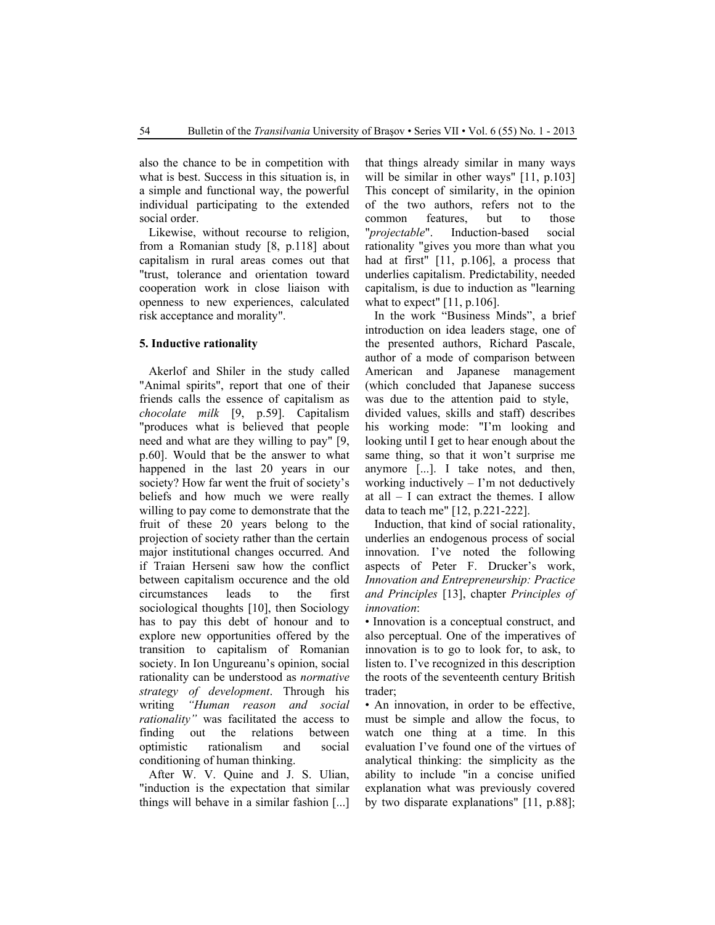also the chance to be in competition with what is best. Success in this situation is, in a simple and functional way, the powerful individual participating to the extended social order.

Likewise, without recourse to religion, from a Romanian study [8, p.118] about capitalism in rural areas comes out that "trust, tolerance and orientation toward cooperation work in close liaison with openness to new experiences, calculated risk acceptance and morality".

#### **5. Inductive rationality**

Akerlof and Shiler in the study called "Animal spirits", report that one of their friends calls the essence of capitalism as *chocolate milk* [9, p.59]. Capitalism "produces what is believed that people need and what are they willing to pay" [9, p.60]. Would that be the answer to what happened in the last 20 years in our society? How far went the fruit of society's beliefs and how much we were really willing to pay come to demonstrate that the fruit of these 20 years belong to the projection of society rather than the certain major institutional changes occurred. And if Traian Herseni saw how the conflict between capitalism occurence and the old circumstances leads to the first sociological thoughts [10], then Sociology has to pay this debt of honour and to explore new opportunities offered by the transition to capitalism of Romanian society. In Ion Ungureanu's opinion, social rationality can be understood as *normative strategy of development*. Through his writing *"Human reason and social rationality"* was facilitated the access to finding out the relations between optimistic rationalism and social conditioning of human thinking.

After W. V. Quine and J. S. Ulian, "induction is the expectation that similar things will behave in a similar fashion [...] that things already similar in many ways will be similar in other ways" [11, p.103] This concept of similarity, in the opinion of the two authors, refers not to the common features, but to those "*projectable*". Induction-based social rationality "gives you more than what you had at first" [11, p.106], a process that underlies capitalism. Predictability, needed capitalism, is due to induction as "learning what to expect" [11, p.106].

In the work "Business Minds", a brief introduction on idea leaders stage, one of the presented authors, Richard Pascale, author of a mode of comparison between American and Japanese management (which concluded that Japanese success was due to the attention paid to style, divided values, skills and staff) describes his working mode: "I'm looking and looking until I get to hear enough about the same thing, so that it won't surprise me anymore [...]. I take notes, and then, working inductively  $- \Gamma$ m not deductively at all – I can extract the themes. I allow data to teach me" [12, p.221-222].

Induction, that kind of social rationality, underlies an endogenous process of social innovation. I've noted the following aspects of Peter F. Drucker's work, *Innovation and Entrepreneurship: Practice and Principles* [13], chapter *Principles of innovation*:

• Innovation is a conceptual construct, and also perceptual. One of the imperatives of innovation is to go to look for, to ask, to listen to. I've recognized in this description the roots of the seventeenth century British trader;

• An innovation, in order to be effective, must be simple and allow the focus, to watch one thing at a time. In this evaluation I've found one of the virtues of analytical thinking: the simplicity as the ability to include "in a concise unified explanation what was previously covered by two disparate explanations" [11, p.88];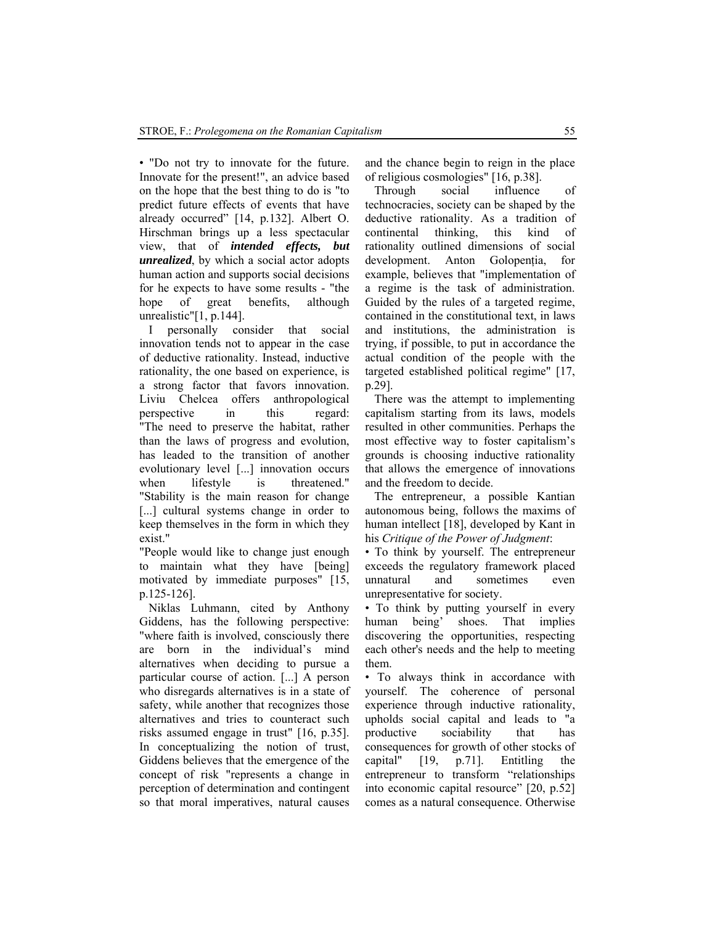• "Do not try to innovate for the future. Innovate for the present!", an advice based on the hope that the best thing to do is "to predict future effects of events that have already occurred" [14, p.132]. Albert O. Hirschman brings up a less spectacular view, that of *intended effects, but unrealized*, by which a social actor adopts human action and supports social decisions for he expects to have some results - "the hope of great benefits, although unrealistic"[1, p.144].

I personally consider that social innovation tends not to appear in the case of deductive rationality. Instead, inductive rationality, the one based on experience, is a strong factor that favors innovation. Liviu Chelcea offers anthropological perspective in this regard: "The need to preserve the habitat, rather than the laws of progress and evolution, has leaded to the transition of another evolutionary level [...] innovation occurs when lifestyle is threatened." "Stability is the main reason for change [...] cultural systems change in order to keep themselves in the form in which they exist."

"People would like to change just enough to maintain what they have [being] motivated by immediate purposes" [15, p.125-126].

Niklas Luhmann, cited by Anthony Giddens, has the following perspective: "where faith is involved, consciously there are born in the individual's mind alternatives when deciding to pursue a particular course of action. [...] A person who disregards alternatives is in a state of safety, while another that recognizes those alternatives and tries to counteract such risks assumed engage in trust" [16, p.35]. In conceptualizing the notion of trust, Giddens believes that the emergence of the concept of risk "represents a change in perception of determination and contingent so that moral imperatives, natural causes and the chance begin to reign in the place of religious cosmologies" [16, p.38].

Through social influence of technocracies, society can be shaped by the deductive rationality. As a tradition of continental thinking, this kind of rationality outlined dimensions of social development. Anton Golopenția, for example, believes that "implementation of a regime is the task of administration. Guided by the rules of a targeted regime, contained in the constitutional text, in laws and institutions, the administration is trying, if possible, to put in accordance the actual condition of the people with the targeted established political regime" [17, p.29].

There was the attempt to implementing capitalism starting from its laws, models resulted in other communities. Perhaps the most effective way to foster capitalism's grounds is choosing inductive rationality that allows the emergence of innovations and the freedom to decide.

The entrepreneur, a possible Kantian autonomous being, follows the maxims of human intellect [18], developed by Kant in his *Critique of the Power of Judgment*:

• To think by yourself. The entrepreneur exceeds the regulatory framework placed unnatural and sometimes even unrepresentative for society.

• To think by putting yourself in every human being' shoes. That implies discovering the opportunities, respecting each other's needs and the help to meeting them.

• To always think in accordance with yourself. The coherence of personal experience through inductive rationality, upholds social capital and leads to "a productive sociability that has consequences for growth of other stocks of capital" [19, p.71]. Entitling the entrepreneur to transform "relationships into economic capital resource" [20, p.52] comes as a natural consequence. Otherwise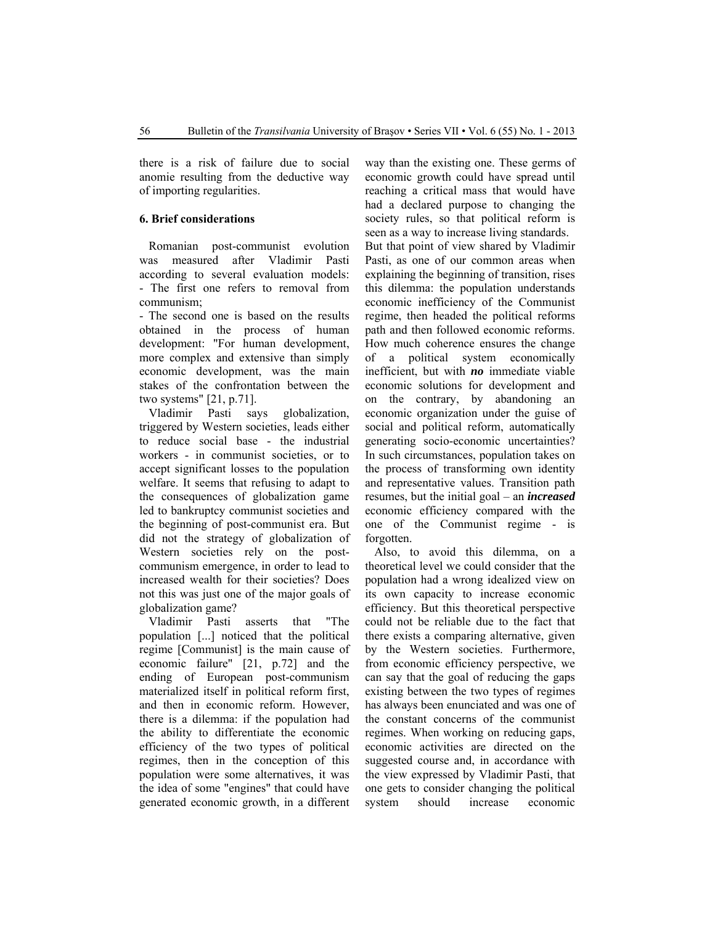there is a risk of failure due to social anomie resulting from the deductive way of importing regularities.

# **6. Brief considerations**

Romanian post-communist evolution was measured after Vladimir Pasti according to several evaluation models: - The first one refers to removal from communism;

- The second one is based on the results obtained in the process of human development: "For human development, more complex and extensive than simply economic development, was the main stakes of the confrontation between the two systems" [21, p.71].

Vladimir Pasti says globalization, triggered by Western societies, leads either to reduce social base - the industrial workers - in communist societies, or to accept significant losses to the population welfare. It seems that refusing to adapt to the consequences of globalization game led to bankruptcy communist societies and the beginning of post-communist era. But did not the strategy of globalization of Western societies rely on the postcommunism emergence, in order to lead to increased wealth for their societies? Does not this was just one of the major goals of globalization game?

Vladimir Pasti asserts that "The population [...] noticed that the political regime [Communist] is the main cause of economic failure" [21, p.72] and the ending of European post-communism materialized itself in political reform first, and then in economic reform. However, there is a dilemma: if the population had the ability to differentiate the economic efficiency of the two types of political regimes, then in the conception of this population were some alternatives, it was the idea of some "engines" that could have generated economic growth, in a different

way than the existing one. These germs of economic growth could have spread until reaching a critical mass that would have had a declared purpose to changing the society rules, so that political reform is seen as a way to increase living standards.

But that point of view shared by Vladimir Pasti, as one of our common areas when explaining the beginning of transition, rises this dilemma: the population understands economic inefficiency of the Communist regime, then headed the political reforms path and then followed economic reforms. How much coherence ensures the change of a political system economically inefficient, but with *no* immediate viable economic solutions for development and on the contrary, by abandoning an economic organization under the guise of social and political reform, automatically generating socio-economic uncertainties? In such circumstances, population takes on the process of transforming own identity and representative values. Transition path resumes, but the initial goal – an *increased* economic efficiency compared with the one of the Communist regime - is forgotten.

Also, to avoid this dilemma, on a theoretical level we could consider that the population had a wrong idealized view on its own capacity to increase economic efficiency. But this theoretical perspective could not be reliable due to the fact that there exists a comparing alternative, given by the Western societies. Furthermore, from economic efficiency perspective, we can say that the goal of reducing the gaps existing between the two types of regimes has always been enunciated and was one of the constant concerns of the communist regimes. When working on reducing gaps, economic activities are directed on the suggested course and, in accordance with the view expressed by Vladimir Pasti, that one gets to consider changing the political system should increase economic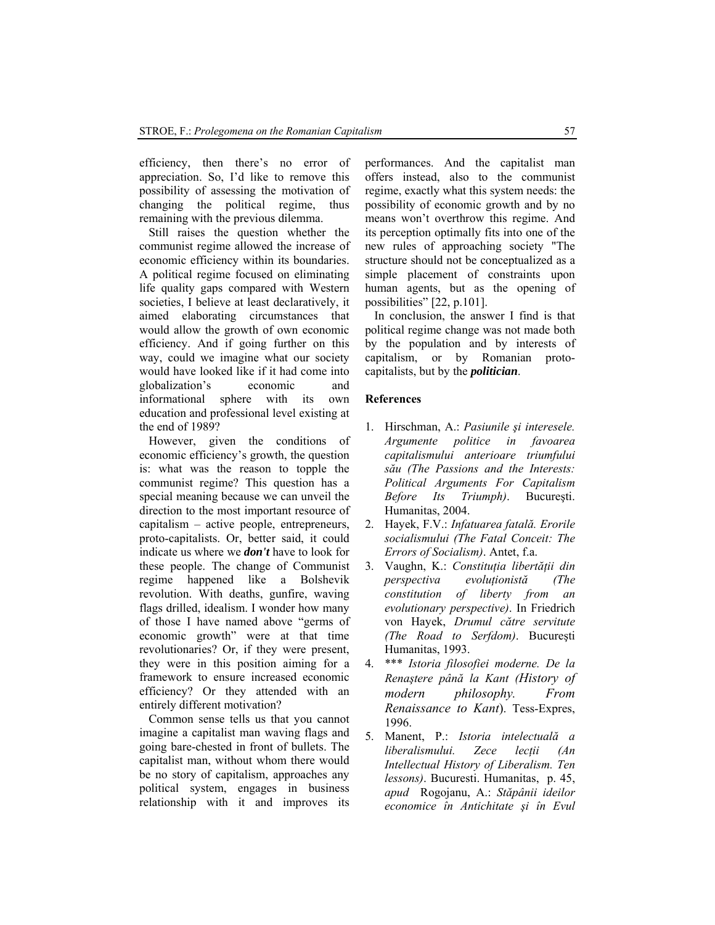efficiency, then there's no error of appreciation. So, I'd like to remove this possibility of assessing the motivation of changing the political regime, thus remaining with the previous dilemma.

Still raises the question whether the communist regime allowed the increase of economic efficiency within its boundaries. A political regime focused on eliminating life quality gaps compared with Western societies, I believe at least declaratively, it aimed elaborating circumstances that would allow the growth of own economic efficiency. And if going further on this way, could we imagine what our society would have looked like if it had come into globalization's economic and informational sphere with its own education and professional level existing at the end of 1989?

However, given the conditions of economic efficiency's growth, the question is: what was the reason to topple the communist regime? This question has a special meaning because we can unveil the direction to the most important resource of capitalism – active people, entrepreneurs, proto-capitalists. Or, better said, it could indicate us where we *don't* have to look for these people. The change of Communist regime happened like a Bolshevik revolution. With deaths, gunfire, waving flags drilled, idealism. I wonder how many of those I have named above "germs of economic growth" were at that time revolutionaries? Or, if they were present, they were in this position aiming for a framework to ensure increased economic efficiency? Or they attended with an entirely different motivation?

Common sense tells us that you cannot imagine a capitalist man waving flags and going bare-chested in front of bullets. The capitalist man, without whom there would be no story of capitalism, approaches any political system, engages in business relationship with it and improves its

performances. And the capitalist man offers instead, also to the communist regime, exactly what this system needs: the possibility of economic growth and by no means won't overthrow this regime. And its perception optimally fits into one of the new rules of approaching society "The structure should not be conceptualized as a simple placement of constraints upon human agents, but as the opening of possibilities" [22, p.101].

In conclusion, the answer I find is that political regime change was not made both by the population and by interests of capitalism, or by Romanian protocapitalists, but by the *politician*.

# **References**

- 1. Hirschman, A.: *Pasiunile şi interesele. Argumente politice in favoarea capitalismului anterioare triumfului său (The Passions and the Interests: Political Arguments For Capitalism Before Its Triumph)*. Bucureşti. Humanitas, 2004.
- 2. Hayek, F.V.: *Infatuarea fatală. Erorile socialismului (The Fatal Conceit: The Errors of Socialism)*. Antet, f.a.
- 3. Vaughn, K.: *Constituţia libertăţii din perspectiva evoluţionistă (The constitution of liberty from an evolutionary perspective)*. In Friedrich von Hayek, *Drumul către servitute (The Road to Serfdom)*. Bucureşti Humanitas, 1993.
- 4. \*\*\* *Istoria filosofiei moderne. De la Renaştere până la Kant (History of modern philosophy. From Renaissance to Kant*). Tess-Expres, 1996.
- 5. Manent, P.: *Istoria intelectuală a liberalismului.* Zece lectii (An *Intellectual History of Liberalism. Ten lessons)*. Bucuresti. Humanitas, p. 45, *apud* Rogojanu, A.: *Stăpânii ideilor economice în Antichitate şi în Evul*